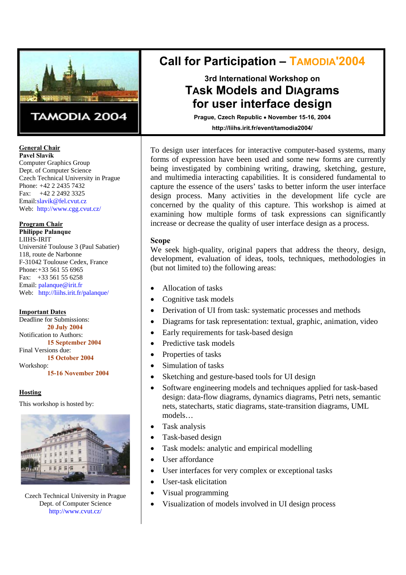

# TAMODIA 2004

**General Chair Pavel Slavík** 

Computer Graphics Group Dept. of Computer Science Czech Technical University in Prague Phone: +42 2 2435 7432 Fax: +42 2 2492 3325 Email: slavik@fel.cvut.cz Web: http://www.cgg.cvut.cz/

**Program Chair Philippe Palanque**  LIIHS-IRIT Université Toulouse 3 (Paul Sabatier) 118, route de Narbonne F-31042 Toulouse Cedex, France Phone: +33 561 55 6965 Fax: +33 561 55 6258 Email: palanque@irit.fr Web: http://liihs.irit.fr/palanque/

**Important Dates** Deadline for Submissions: **20 July 2004**  Notification to Authors: **15 September 2004**  Final Versions due: **15 October 2004** 

Workshop:

**15-16 November 2004**

## **Hosting**

This workshop is hosted by:



Czech Technical University in Prague Dept. of Computer Science http://www.cvut.cz/

# **Call for Participation – TAMODIA'2004**

# **3rd International Workshop on TAsk MOdels and DIAgrams for user interface design**

**Prague, Czech Republic** • **November 15-16, 2004 http://liihs.irit.fr/event/tamodia2004/**

To design user interfaces for interactive computer-based systems, many forms of expression have been used and some new forms are currently being investigated by combining writing, drawing, sketching, gesture, and multimedia interacting capabilities. It is considered fundamental to capture the essence of the users' tasks to better inform the user interface design process. Many activities in the development life cycle are concerned by the quality of this capture. This workshop is aimed at examining how multiple forms of task expressions can significantly increase or decrease the quality of user interface design as a process.

## **Scope**

We seek high-quality, original papers that address the theory, design, development, evaluation of ideas, tools, techniques, methodologies in (but not limited to) the following areas:

- Allocation of tasks
- Cognitive task models
- Derivation of UI from task: systematic processes and methods
- Diagrams for task representation: textual, graphic, animation, video
- Early requirements for task-based design
- Predictive task models
- Properties of tasks
- Simulation of tasks
- Sketching and gesture-based tools for UI design
- Software engineering models and techniques applied for task-based design: data-flow diagrams, dynamics diagrams, Petri nets, semantic nets, statecharts, static diagrams, state-transition diagrams, UML models…
- Task analysis
- Task-based design
- Task models: analytic and empirical modelling
- User affordance
- User interfaces for very complex or exceptional tasks
- User-task elicitation
- Visual programming
- Visualization of models involved in UI design process